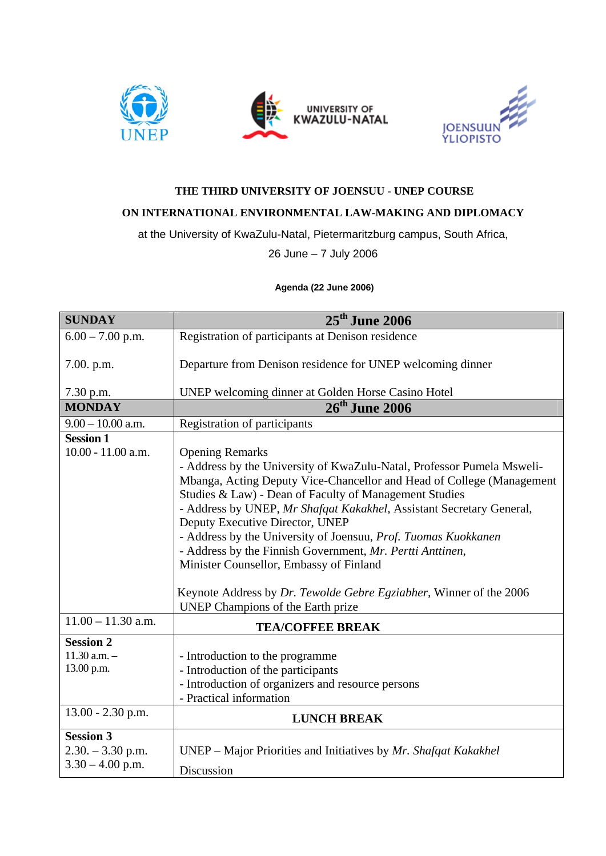



## **THE THIRD UNIVERSITY OF JOENSUU - UNEP COURSE**

## **ON INTERNATIONAL ENVIRONMENTAL LAW-MAKING AND DIPLOMACY**

at the University of KwaZulu-Natal, Pietermaritzburg campus, South Africa,

26 June – 7 July 2006

## **Agenda (22 June 2006)**

| <b>SUNDAY</b>                                                 | $25th$ June 2006                                                                                                                                                                                                                                                                                                                                                                                                                                                                                                                                                                                                                    |
|---------------------------------------------------------------|-------------------------------------------------------------------------------------------------------------------------------------------------------------------------------------------------------------------------------------------------------------------------------------------------------------------------------------------------------------------------------------------------------------------------------------------------------------------------------------------------------------------------------------------------------------------------------------------------------------------------------------|
| $6.00 - 7.00$ p.m.                                            | Registration of participants at Denison residence                                                                                                                                                                                                                                                                                                                                                                                                                                                                                                                                                                                   |
| 7.00. p.m.                                                    | Departure from Denison residence for UNEP welcoming dinner                                                                                                                                                                                                                                                                                                                                                                                                                                                                                                                                                                          |
| 7.30 p.m.                                                     | UNEP welcoming dinner at Golden Horse Casino Hotel                                                                                                                                                                                                                                                                                                                                                                                                                                                                                                                                                                                  |
| <b>MONDAY</b>                                                 | 26 <sup>th</sup> June 2006                                                                                                                                                                                                                                                                                                                                                                                                                                                                                                                                                                                                          |
| $9.00 - 10.00$ a.m.                                           | <b>Registration of participants</b>                                                                                                                                                                                                                                                                                                                                                                                                                                                                                                                                                                                                 |
| <b>Session 1</b><br>$10.00 - 11.00$ a.m.                      | <b>Opening Remarks</b><br>- Address by the University of KwaZulu-Natal, Professor Pumela Msweli-<br>Mbanga, Acting Deputy Vice-Chancellor and Head of College (Management<br>Studies & Law) - Dean of Faculty of Management Studies<br>- Address by UNEP, Mr Shafqat Kakakhel, Assistant Secretary General,<br>Deputy Executive Director, UNEP<br>- Address by the University of Joensuu, Prof. Tuomas Kuokkanen<br>- Address by the Finnish Government, Mr. Pertti Anttinen,<br>Minister Counsellor, Embassy of Finland<br>Keynote Address by Dr. Tewolde Gebre Egziabher, Winner of the 2006<br>UNEP Champions of the Earth prize |
| $11.00 - 11.30$ a.m.                                          | <b>TEA/COFFEE BREAK</b>                                                                                                                                                                                                                                                                                                                                                                                                                                                                                                                                                                                                             |
| <b>Session 2</b>                                              |                                                                                                                                                                                                                                                                                                                                                                                                                                                                                                                                                                                                                                     |
| $11.30$ a.m. $-$<br>13.00 p.m.                                | - Introduction to the programme<br>- Introduction of the participants<br>- Introduction of organizers and resource persons<br>- Practical information                                                                                                                                                                                                                                                                                                                                                                                                                                                                               |
| 13.00 - 2.30 p.m.                                             | <b>LUNCH BREAK</b>                                                                                                                                                                                                                                                                                                                                                                                                                                                                                                                                                                                                                  |
| <b>Session 3</b><br>$2.30. - 3.30$ p.m.<br>$3.30 - 4.00$ p.m. | UNEP – Major Priorities and Initiatives by Mr. Shafqat Kakakhel<br>Discussion                                                                                                                                                                                                                                                                                                                                                                                                                                                                                                                                                       |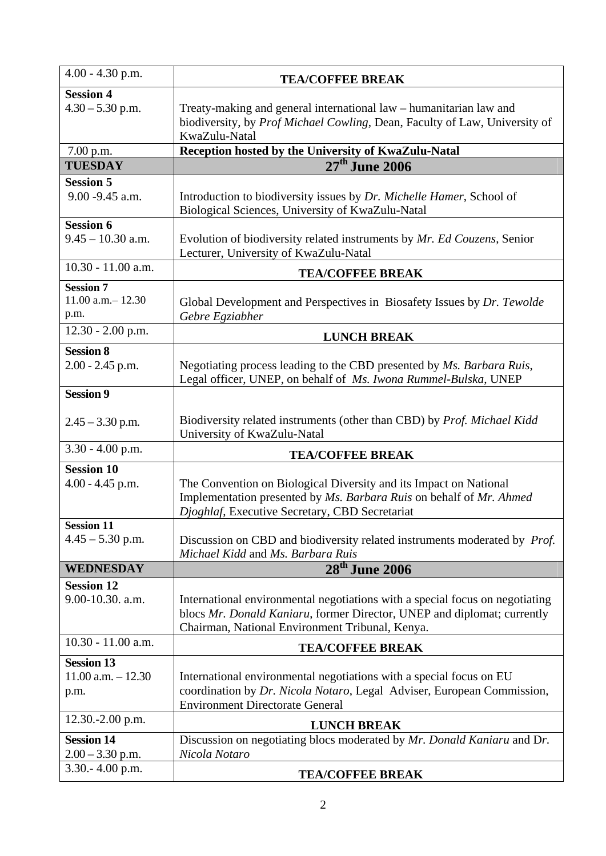| $4.00 - 4.30$ p.m.                                 |                                                                                                                                                                                                            |
|----------------------------------------------------|------------------------------------------------------------------------------------------------------------------------------------------------------------------------------------------------------------|
|                                                    | <b>TEA/COFFEE BREAK</b>                                                                                                                                                                                    |
| <b>Session 4</b><br>$4.30 - 5.30$ p.m.             | Treaty-making and general international law – humanitarian law and<br>biodiversity, by Prof Michael Cowling, Dean, Faculty of Law, University of<br>KwaZulu-Natal                                          |
| 7.00 p.m.                                          | Reception hosted by the University of KwaZulu-Natal                                                                                                                                                        |
| <b>TUESDAY</b>                                     | $27^{\text{th}}$ June 2006                                                                                                                                                                                 |
| <b>Session 5</b>                                   |                                                                                                                                                                                                            |
| 9.00 - 9.45 a.m.                                   | Introduction to biodiversity issues by Dr. Michelle Hamer, School of<br>Biological Sciences, University of KwaZulu-Natal                                                                                   |
| <b>Session 6</b><br>$9.45 - 10.30$ a.m.            | Evolution of biodiversity related instruments by Mr. Ed Couzens, Senior<br>Lecturer, University of KwaZulu-Natal                                                                                           |
| 10.30 - 11.00 a.m.                                 | <b>TEA/COFFEE BREAK</b>                                                                                                                                                                                    |
| <b>Session 7</b>                                   |                                                                                                                                                                                                            |
| $11.00$ a.m. $- 12.30$                             | Global Development and Perspectives in Biosafety Issues by Dr. Tewolde                                                                                                                                     |
| p.m.                                               | Gebre Egziabher                                                                                                                                                                                            |
| 12.30 - 2.00 p.m.                                  | <b>LUNCH BREAK</b>                                                                                                                                                                                         |
| <b>Session 8</b>                                   |                                                                                                                                                                                                            |
| $2.00 - 2.45$ p.m.                                 | Negotiating process leading to the CBD presented by Ms. Barbara Ruis,<br>Legal officer, UNEP, on behalf of Ms. Iwona Rummel-Bulska, UNEP                                                                   |
| <b>Session 9</b>                                   |                                                                                                                                                                                                            |
| $2.45 - 3.30$ p.m.                                 | Biodiversity related instruments (other than CBD) by <i>Prof. Michael Kidd</i><br>University of KwaZulu-Natal                                                                                              |
| $3.30 - 4.00$ p.m.                                 | <b>TEA/COFFEE BREAK</b>                                                                                                                                                                                    |
| <b>Session 10</b><br>$4.00 - 4.45$ p.m.            | The Convention on Biological Diversity and its Impact on National<br>Implementation presented by Ms. Barbara Ruis on behalf of Mr. Ahmed<br>Djoghlaf, Executive Secretary, CBD Secretariat                 |
| <b>Session 11</b><br>$4.45 - 5.30$ p.m.            | Discussion on CBD and biodiversity related instruments moderated by Prof.<br>Michael Kidd and Ms. Barbara Ruis                                                                                             |
| <b>WEDNESDAY</b>                                   | $28^{\text{th}}$ June 2006                                                                                                                                                                                 |
| <b>Session 12</b><br>9.00-10.30. a.m.              | International environmental negotiations with a special focus on negotiating<br>blocs Mr. Donald Kaniaru, former Director, UNEP and diplomat; currently<br>Chairman, National Environment Tribunal, Kenya. |
| 10.30 - 11.00 a.m.                                 | <b>TEA/COFFEE BREAK</b>                                                                                                                                                                                    |
| <b>Session 13</b><br>$11.00$ a.m. $-12.30$<br>p.m. | International environmental negotiations with a special focus on EU<br>coordination by Dr. Nicola Notaro, Legal Adviser, European Commission,<br><b>Environment Directorate General</b>                    |
| 12.30.-2.00 p.m.                                   | <b>LUNCH BREAK</b>                                                                                                                                                                                         |
| <b>Session 14</b><br>$2.00 - 3.30$ p.m.            | Discussion on negotiating blocs moderated by Mr. Donald Kaniaru and Dr.<br>Nicola Notaro                                                                                                                   |
| 3.30.-4.00 p.m.                                    | <b>TEA/COFFEE BREAK</b>                                                                                                                                                                                    |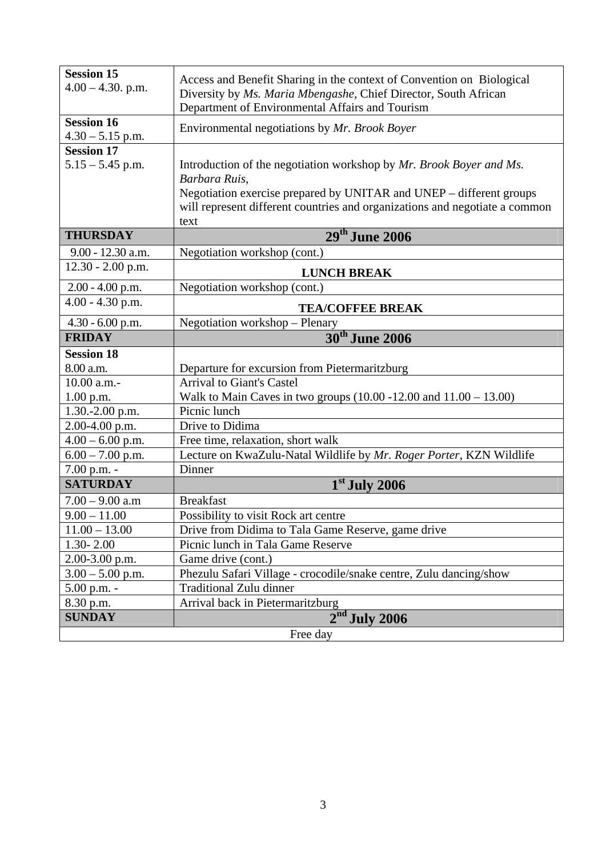| <b>Session 15</b>    | Access and Benefit Sharing in the context of Convention on Biological                |
|----------------------|--------------------------------------------------------------------------------------|
| $4.00 - 4.30$ . p.m. | Diversity by Ms. Maria Mbengashe, Chief Director, South African                      |
|                      | Department of Environmental Affairs and Tourism                                      |
| <b>Session 16</b>    |                                                                                      |
| $4.30 - 5.15$ p.m.   | Environmental negotiations by Mr. Brook Boyer                                        |
| <b>Session 17</b>    |                                                                                      |
| $5.15 - 5.45$ p.m.   | Introduction of the negotiation workshop by Mr. Brook Boyer and Ms.<br>Barbara Ruis, |
|                      | Negotiation exercise prepared by UNITAR and UNEP – different groups                  |
|                      | will represent different countries and organizations and negotiate a common          |
|                      | text                                                                                 |
| <b>THURSDAY</b>      | 29th June 2006                                                                       |
| 9.00 - 12.30 a.m.    | Negotiation workshop (cont.)                                                         |
| 12.30 - 2.00 p.m.    | <b>LUNCH BREAK</b>                                                                   |
| $2.00 - 4.00$ p.m.   | Negotiation workshop (cont.)                                                         |
| 4.00 - 4.30 p.m.     | <b>TEA/COFFEE BREAK</b>                                                              |
| $4.30 - 6.00$ p.m.   | Negotiation workshop - Plenary                                                       |
| <b>FRIDAY</b>        | 30 <sup>th</sup> June 2006                                                           |
| <b>Session 18</b>    |                                                                                      |
| 8.00 a.m.            | Departure for excursion from Pietermaritzburg                                        |
| 10.00 a.m.-          | <b>Arrival to Giant's Castel</b>                                                     |
| 1.00 p.m.            | Walk to Main Caves in two groups $(10.00 - 12.00 \text{ and } 11.00 - 13.00)$        |
| 1.30.-2.00 p.m.      | Picnic lunch                                                                         |
| 2.00-4.00 p.m.       | Drive to Didima                                                                      |
| $4.00 - 6.00$ p.m.   | Free time, relaxation, short walk                                                    |
| $6.00 - 7.00$ p.m.   | Lecture on KwaZulu-Natal Wildlife by Mr. Roger Porter, KZN Wildlife                  |
| 7.00 p.m. -          | Dinner                                                                               |
| <b>SATURDAY</b>      | $1st$ July 2006                                                                      |
| $7.00 - 9.00$ a.m    | <b>Breakfast</b>                                                                     |
| $9.00 - 11.00$       | Possibility to visit Rock art centre                                                 |
| $11.00 - 13.00$      | Drive from Didima to Tala Game Reserve, game drive                                   |
| $1.30 - 2.00$        | Picnic lunch in Tala Game Reserve                                                    |
| $2.00 - 3.00$ p.m.   | Game drive (cont.)                                                                   |
| $3.00 - 5.00$ p.m.   | Phezulu Safari Village - crocodile/snake centre, Zulu dancing/show                   |
| 5.00 p.m. -          | <b>Traditional Zulu dinner</b>                                                       |
| 8.30 p.m.            | Arrival back in Pietermaritzburg                                                     |
| <b>SUNDAY</b>        | $2nd$ July 2006                                                                      |
|                      | Free day                                                                             |
|                      |                                                                                      |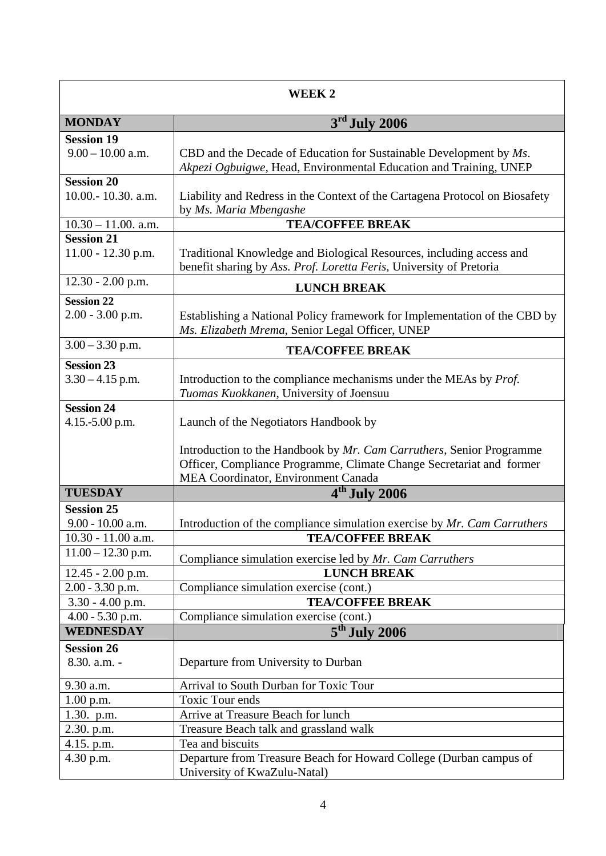| WEEK 2                                                         |                                                                                                                                                                                     |  |
|----------------------------------------------------------------|-------------------------------------------------------------------------------------------------------------------------------------------------------------------------------------|--|
| <b>MONDAY</b>                                                  | $3rd$ July 2006                                                                                                                                                                     |  |
| <b>Session 19</b><br>$9.00 - 10.00$ a.m.                       | CBD and the Decade of Education for Sustainable Development by $Ms$ .<br>Akpezi Ogbuigwe, Head, Environmental Education and Training, UNEP                                          |  |
| <b>Session 20</b><br>10.00.-10.30. a.m.                        | Liability and Redress in the Context of the Cartagena Protocol on Biosafety<br>by Ms. Maria Mbengashe                                                                               |  |
| $10.30 - 11.00$ . a.m.                                         | <b>TEA/COFFEE BREAK</b>                                                                                                                                                             |  |
| <b>Session 21</b><br>$11.00 - 12.30$ p.m.                      | Traditional Knowledge and Biological Resources, including access and<br>benefit sharing by Ass. Prof. Loretta Feris, University of Pretoria                                         |  |
| $12.30 - 2.00$ p.m.                                            | <b>LUNCH BREAK</b>                                                                                                                                                                  |  |
| <b>Session 22</b><br>$2.00 - 3.00$ p.m.                        | Establishing a National Policy framework for Implementation of the CBD by<br>Ms. Elizabeth Mrema, Senior Legal Officer, UNEP                                                        |  |
| $3.00 - 3.30$ p.m.                                             | <b>TEA/COFFEE BREAK</b>                                                                                                                                                             |  |
| <b>Session 23</b><br>$3.30 - 4.15$ p.m.                        | Introduction to the compliance mechanisms under the MEAs by Prof.<br>Tuomas Kuokkanen, University of Joensuu                                                                        |  |
| <b>Session 24</b><br>4.15.-5.00 p.m.                           | Launch of the Negotiators Handbook by                                                                                                                                               |  |
|                                                                | Introduction to the Handbook by Mr. Cam Carruthers, Senior Programme<br>Officer, Compliance Programme, Climate Change Secretariat and former<br>MEA Coordinator, Environment Canada |  |
| <b>TUESDAY</b>                                                 | $4th$ July 2006                                                                                                                                                                     |  |
| <b>Session 25</b><br>$9.00 - 10.00$ a.m.<br>10.30 - 11.00 a.m. | Introduction of the compliance simulation exercise by Mr. Cam Carruthers<br><b>TEA/COFFEE BREAK</b>                                                                                 |  |
| $11.00 - 12.30$ p.m.                                           |                                                                                                                                                                                     |  |
|                                                                | Compliance simulation exercise led by Mr. Cam Carruthers                                                                                                                            |  |
| $12.45 - 2.00$ p.m.                                            | <b>LUNCH BREAK</b>                                                                                                                                                                  |  |
| $2.00 - 3.30$ p.m.<br>$3.30 - 4.00$ p.m.                       | Compliance simulation exercise (cont.)<br><b>TEA/COFFEE BREAK</b>                                                                                                                   |  |
| 4.00 - 5.30 p.m.                                               | Compliance simulation exercise (cont.)                                                                                                                                              |  |
| <b>WEDNESDAY</b>                                               | 5 <sup>th</sup> July 2006                                                                                                                                                           |  |
| <b>Session 26</b>                                              |                                                                                                                                                                                     |  |
| 8.30. a.m. -                                                   | Departure from University to Durban                                                                                                                                                 |  |
| 9.30 a.m.                                                      | Arrival to South Durban for Toxic Tour                                                                                                                                              |  |
| 1.00 p.m.                                                      | <b>Toxic Tour ends</b>                                                                                                                                                              |  |
| 1.30. p.m.                                                     | Arrive at Treasure Beach for lunch                                                                                                                                                  |  |
| 2.30. p.m.                                                     | Treasure Beach talk and grassland walk                                                                                                                                              |  |
| 4.15. p.m.                                                     | Tea and biscuits                                                                                                                                                                    |  |
| 4.30 p.m.                                                      | Departure from Treasure Beach for Howard College (Durban campus of<br>University of KwaZulu-Natal)                                                                                  |  |